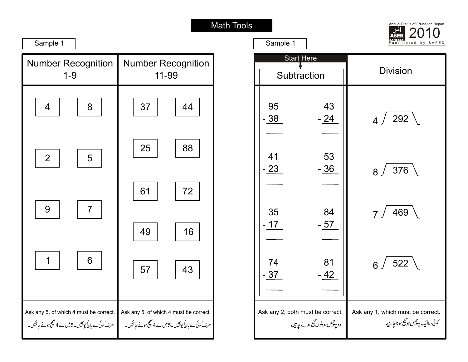Г



| Sample 1                                                 |                                                 |  |
|----------------------------------------------------------|-------------------------------------------------|--|
| <b>Number Recognition</b>                                | <b>Number Recognition</b>                       |  |
| $1 - 9$                                                  | 11-99                                           |  |
| 4                                                        | 37                                              |  |
| 8                                                        | 44                                              |  |
| $\overline{2}$                                           | 25                                              |  |
| 5                                                        | 88                                              |  |
| 7                                                        | 61                                              |  |
| 9                                                        | 72                                              |  |
|                                                          | 49<br>16                                        |  |
| 6                                                        | 43                                              |  |
| 1                                                        | 57                                              |  |
| Ask any 5, of which 4 must be correct.                   | Ask any 5, of which 4 must be correct.          |  |
| صرف کوئی سے پانچ پوچیس۔5میں سے 4صحیح ہونے <i>چاہئیں۔</i> | صرف کوئی سے پانچ پوچیس۔5میں ہے4میچ ہونے حاہمیں۔ |  |

| Sample 1                         |                                 | Facilitated<br>by SAFED                                                |
|----------------------------------|---------------------------------|------------------------------------------------------------------------|
| <b>Start Here</b><br>Subtraction |                                 | <b>Division</b>                                                        |
| 95<br>$-38$                      | 43<br>$-24$                     | 4/292                                                                  |
| 41<br>$-23$                      | 53<br>$-36$                     | $_8/376$                                                               |
| 35<br>$-17$                      | 84<br>$-57$                     | 7/469                                                                  |
| 74<br>$-37$                      | 81<br>- 42                      | 6/522                                                                  |
| Ask any 2, both must be correct. | دو پوچیس، دونوں صحیح ہونے حامیں | Ask any 1, which must be correct.<br>کوئی ساایک پوچیس جو شیح ہوناجا ہے |